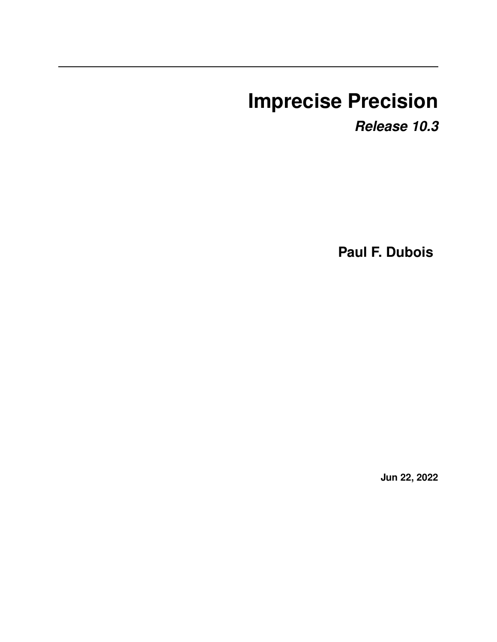# **Imprecise Precision**

*Release 10.3*

**Paul F. Dubois**

**Jun 22, 2022**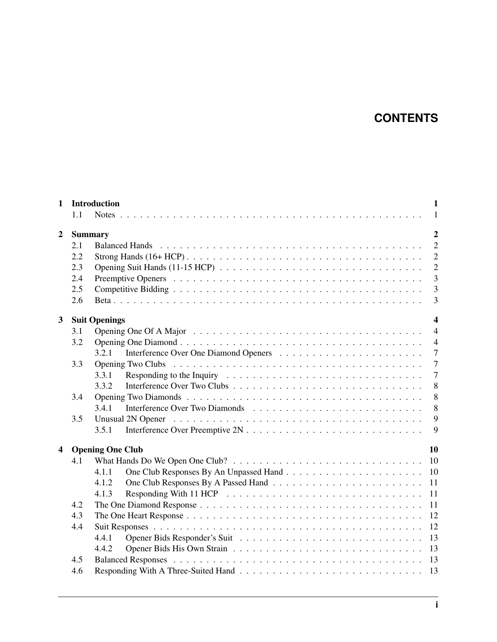# **CONTENTS**

| $\mathbf{1}$            | 1.1                              | <b>Introduction</b><br>$\mathbf{1}$<br>$\mathbf{1}$ |  |  |
|-------------------------|----------------------------------|-----------------------------------------------------|--|--|
| $\overline{2}$          | $\overline{2}$<br><b>Summary</b> |                                                     |  |  |
|                         | 2.1                              | $\overline{2}$                                      |  |  |
|                         | 2.2                              | $\overline{2}$                                      |  |  |
|                         | 2.3                              | $\overline{2}$                                      |  |  |
|                         | 2.4                              | $\overline{3}$                                      |  |  |
|                         | 2.5                              | $\overline{3}$                                      |  |  |
|                         | 2.6                              | 3                                                   |  |  |
| $\mathbf{3}$            |                                  | <b>Suit Openings</b><br>$\overline{\mathbf{4}}$     |  |  |
|                         | 3.1                              | $\overline{4}$                                      |  |  |
|                         | 3.2                              | $\overline{4}$                                      |  |  |
|                         |                                  | $\overline{7}$<br>3.2.1                             |  |  |
|                         | 3.3                              | $\overline{7}$                                      |  |  |
|                         |                                  | $\overline{7}$<br>3.3.1                             |  |  |
|                         |                                  | 8<br>3.3.2                                          |  |  |
|                         | 3.4                              | 8                                                   |  |  |
|                         |                                  | 3.4.1<br>8                                          |  |  |
|                         | 3.5                              | 9                                                   |  |  |
|                         |                                  | 9<br>3.5.1                                          |  |  |
| $\overline{\mathbf{4}}$ |                                  | 10<br><b>Opening One Club</b>                       |  |  |
|                         | 4.1                              | 10                                                  |  |  |
|                         |                                  | 10<br>4.1.1                                         |  |  |
|                         |                                  | 4.1.2<br>11                                         |  |  |
|                         |                                  | 11<br>4.1.3                                         |  |  |
|                         | 4.2                              | 11                                                  |  |  |
|                         | 4.3                              | 12                                                  |  |  |
|                         | 4.4                              | 12                                                  |  |  |
|                         |                                  | 13<br>4.4.1                                         |  |  |
|                         |                                  | 13<br>4.4.2                                         |  |  |
|                         | 4.5                              | 13                                                  |  |  |
|                         | 4.6                              | 13                                                  |  |  |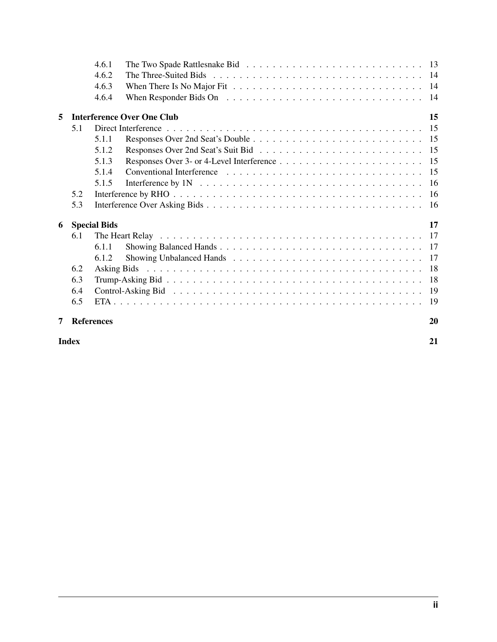| 6.5 | <b>References</b> | 20                                                                         |
|-----|-------------------|----------------------------------------------------------------------------|
|     |                   |                                                                            |
|     |                   |                                                                            |
| 6.4 |                   |                                                                            |
|     |                   |                                                                            |
| 6.2 |                   |                                                                            |
|     | 6.1.2             |                                                                            |
|     | 6.1.1             |                                                                            |
| 6.1 |                   |                                                                            |
|     |                   | 17                                                                         |
| 5.3 |                   |                                                                            |
| 5.2 |                   |                                                                            |
|     | 5.1.5             |                                                                            |
|     | 5.1.4             |                                                                            |
|     | 5.1.3             |                                                                            |
|     | 5.1.2             |                                                                            |
|     | 5.1.1             |                                                                            |
| 5.1 |                   |                                                                            |
|     |                   | 15                                                                         |
|     |                   |                                                                            |
|     |                   |                                                                            |
|     | 4.6.2             |                                                                            |
|     | 4.6.1             |                                                                            |
|     | 6.3               | 4.6.3<br>4.6.4<br><b>Interference Over One Club</b><br><b>Special Bids</b> |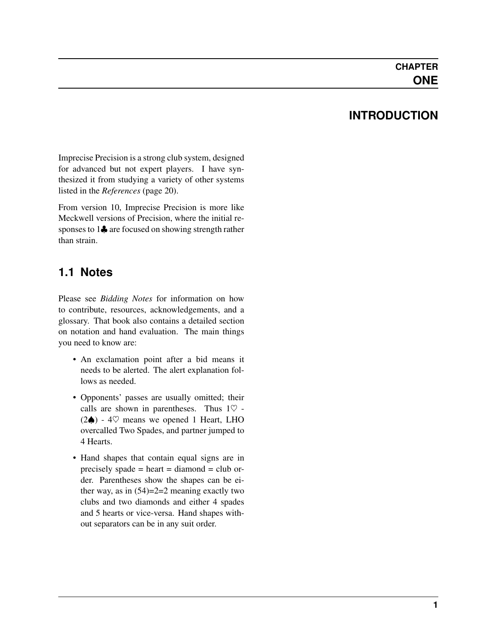### **INTRODUCTION**

<span id="page-3-0"></span>Imprecise Precision is a strong club system, designed for advanced but not expert players. I have synthesized it from studying a variety of other systems listed in the *[References](#page-22-0)* (page 20).

From version 10, Imprecise Precision is more like Meckwell versions of Precision, where the initial responses to 1 $\clubsuit$  are focused on showing strength rather than strain.

### <span id="page-3-1"></span>**1.1 Notes**

Please see *Bidding Notes* for information on how to contribute, resources, acknowledgements, and a glossary. That book also contains a detailed section on notation and hand evaluation. The main things you need to know are:

- An exclamation point after a bid means it needs to be alerted. The alert explanation follows as needed.
- Opponents' passes are usually omitted; their calls are shown in parentheses. Thus  $1\heartsuit$  - $(2♦)$  - 4♡ means we opened 1 Heart, LHO overcalled Two Spades, and partner jumped to 4 Hearts.
- Hand shapes that contain equal signs are in precisely spade = heart = diamond = club order. Parentheses show the shapes can be either way, as in  $(54)=2=2$  meaning exactly two clubs and two diamonds and either 4 spades and 5 hearts or vice-versa. Hand shapes without separators can be in any suit order.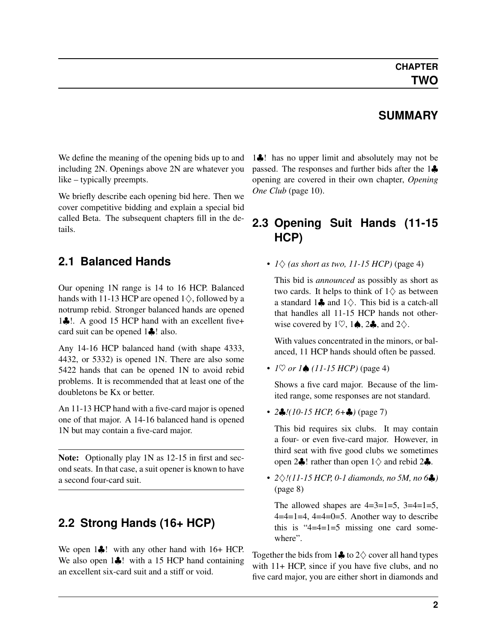### **SUMMARY**

<span id="page-4-4"></span><span id="page-4-0"></span>We define the meaning of the opening bids up to and including 2N. Openings above 2N are whatever you like – typically preempts.

We briefly describe each opening bid here. Then we cover competitive bidding and explain a special bid called Beta. The subsequent chapters fill in the details.

### <span id="page-4-1"></span>**2.1 Balanced Hands**

Our opening 1N range is 14 to 16 HCP. Balanced hands with 11-13 HCP are opened  $1\diamondsuit$ , followed by a notrump rebid. Stronger balanced hands are opened 1♣!. A good 15 HCP hand with an excellent five+ card suit can be opened 1♣! also.

Any 14-16 HCP balanced hand (with shape 4333, 4432, or 5332) is opened 1N. There are also some 5422 hands that can be opened 1N to avoid rebid problems. It is recommended that at least one of the doubletons be Kx or better.

An 11-13 HCP hand with a five-card major is opened one of that major. A 14-16 balanced hand is opened 1N but may contain a five-card major.

Note: Optionally play 1N as 12-15 in first and second seats. In that case, a suit opener is known to have a second four-card suit.

### <span id="page-4-2"></span>**2.2 Strong Hands (16+ HCP)**

We open 1♣! with any other hand with 16+ HCP. We also open 1♣! with a 15 HCP hand containing an excellent six-card suit and a stiff or void.

1♣! has no upper limit and absolutely may not be passed. The responses and further bids after the 1♣ opening are covered in their own chapter, *[Opening](#page-12-0) [One Club](#page-12-0)* (page 10).

### <span id="page-4-3"></span>**2.3 Opening Suit Hands (11-15 HCP)**

•  $1\Diamond$  *[\(as short as two, 11-15 HCP\)](#page-6-3)* (page 4)

This bid is *announced* as possibly as short as two cards. It helps to think of  $1\diamondsuit$  as between a standard 1 $\clubsuit$  and 1 $\diamond$ . This bid is a catch-all that handles all 11-15 HCP hands not otherwise covered by 1 $\heartsuit$ , 1 $\spadesuit$ , 2 $\clubsuit$ , and 2 $\diamondsuit$ .

With values concentrated in the minors, or balanced, 11 HCP hands should often be passed.

• *1*♡ *or 1*♠ *[\(11-15 HCP\)](#page-6-4)* (page 4)

Shows a five card major. Because of the limited range, some responses are not standard.

• *2*♣*[!\(10-15 HCP, 6+](#page-9-3)*♣*)* (page 7)

This bid requires six clubs. It may contain a four- or even five-card major. However, in third seat with five good clubs we sometimes open 2 $\clubsuit$ ! rather than open 1 $\diamond$  and rebid 2 $\clubsuit$ .

• *2*♢*[!\(11-15 HCP, 0-1 diamonds, no 5M, no 6](#page-10-3)*♣*)* (page 8)

The allowed shapes are  $4=3=1=5$ ,  $3=4=1=5$ ,  $4=4=1=4$ ,  $4=4=0=5$ . Another way to describe this is " $4=4=1=5$  missing one card somewhere".

Together the bids from  $1\clubsuit$  to  $2\diamondsuit$  cover all hand types with 11+ HCP, since if you have five clubs, and no five card major, you are either short in diamonds and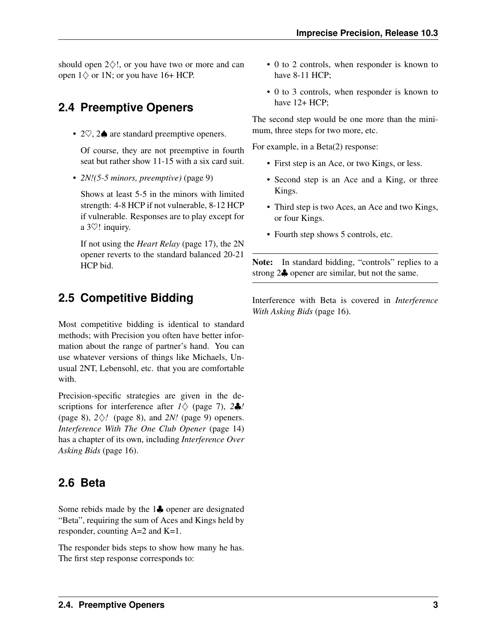<span id="page-5-4"></span>should open  $2\diamondsuit!$ , or you have two or more and can open  $1\diamondsuit$  or 1N; or you have 16+ HCP.

# <span id="page-5-0"></span>**2.4 Preemptive Openers**

• 2♡, 2♠ are standard preemptive openers.

Of course, they are not preemptive in fourth seat but rather show 11-15 with a six card suit.

• *[2N!\(5-5 minors, preemptive\)](#page-11-2)* (page 9)

Shows at least 5-5 in the minors with limited strength: 4-8 HCP if not vulnerable, 8-12 HCP if vulnerable. Responses are to play except for a 3♡! inquiry.

If not using the *[Heart Relay](#page-19-4)* (page 17), the 2N opener reverts to the standard balanced 20-21 HCP bid.

# <span id="page-5-1"></span>**2.5 Competitive Bidding**

Most competitive bidding is identical to standard methods; with Precision you often have better information about the range of partner's hand. You can use whatever versions of things like Michaels, Unusual 2NT, Lebensohl, etc. that you are comfortable with.

Precision-specific strategies are given in the descriptions for interference after *1*[♢](#page-9-4) (page 7), *2*[♣](#page-10-4)*!* (page 8), *2*[♢](#page-10-5)*!* (page 8), and *[2N!](#page-11-3)* (page 9) openers. *[Interference With The One Club Opener](#page-16-3)* (page 14) has a chapter of its own, including *[Interference Over](#page-18-3) [Asking Bids](#page-18-3)* (page 16).

# <span id="page-5-2"></span>**2.6 Beta**

<span id="page-5-3"></span>Some rebids made by the 1♣ opener are designated "Beta", requiring the sum of Aces and Kings held by responder, counting A=2 and K=1.

The responder bids steps to show how many he has. The first step response corresponds to:

- 0 to 2 controls, when responder is known to have 8-11 HCP;
- 0 to 3 controls, when responder is known to have  $12+HCP$ ;

The second step would be one more than the minimum, three steps for two more, etc.

For example, in a Beta(2) response:

- First step is an Ace, or two Kings, or less.
- Second step is an Ace and a King, or three Kings.
- Third step is two Aces, an Ace and two Kings, or four Kings.
- Fourth step shows 5 controls, etc.

Note: In standard bidding, "controls" replies to a strong 2♣ opener are similar, but not the same.

Interference with Beta is covered in *[Interference](#page-18-3) [With Asking Bids](#page-18-3)* (page 16).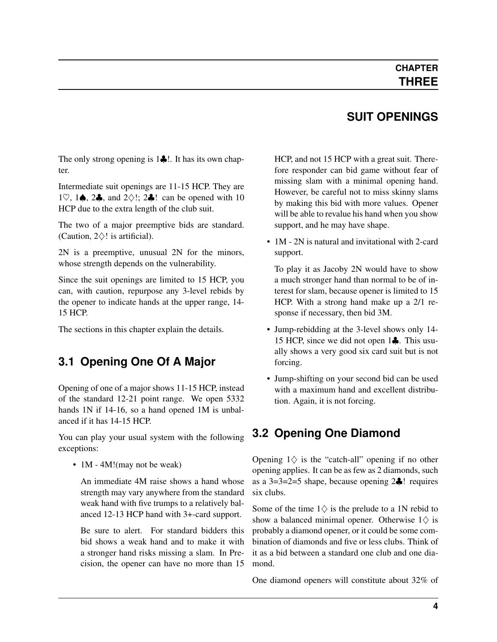### **CHAPTER THREE**

# **SUIT OPENINGS**

<span id="page-6-5"></span><span id="page-6-0"></span>The only strong opening is 1♣!. It has its own chapter.

Intermediate suit openings are 11-15 HCP. They are 1 $\heartsuit$ , 1 $\spadesuit$ , 2 $\clubsuit$ , and 2 $\diamondsuit$ !; 2 $\clubsuit$ ! can be opened with 10 HCP due to the extra length of the club suit.

The two of a major preemptive bids are standard. (Caution,  $2\diamondsuit!$  is artificial).

2N is a preemptive, unusual 2N for the minors, whose strength depends on the vulnerability.

Since the suit openings are limited to 15 HCP, you can, with caution, repurpose any 3-level rebids by the opener to indicate hands at the upper range, 14- 15 HCP.

The sections in this chapter explain the details.

### <span id="page-6-1"></span>**3.1 Opening One Of A Major**

<span id="page-6-4"></span>Opening of one of a major shows 11-15 HCP, instead of the standard 12-21 point range. We open 5332 hands 1N if 14-16, so a hand opened 1M is unbalanced if it has 14-15 HCP.

You can play your usual system with the following exceptions:

• 1M - 4M! (may not be weak)

An immediate 4M raise shows a hand whose strength may vary anywhere from the standard weak hand with five trumps to a relatively balanced 12-13 HCP hand with 3+-card support.

Be sure to alert. For standard bidders this bid shows a weak hand and to make it with a stronger hand risks missing a slam. In Precision, the opener can have no more than 15 HCP, and not 15 HCP with a great suit. Therefore responder can bid game without fear of missing slam with a minimal opening hand. However, be careful not to miss skinny slams by making this bid with more values. Opener will be able to revalue his hand when you show support, and he may have shape.

• 1M - 2N is natural and invitational with 2-card support.

To play it as Jacoby 2N would have to show a much stronger hand than normal to be of interest for slam, because opener is limited to 15 HCP. With a strong hand make up a 2/1 response if necessary, then bid 3M.

- Jump-rebidding at the 3-level shows only 14- 15 HCP, since we did not open 1♣. This usually shows a very good six card suit but is not forcing.
- Jump-shifting on your second bid can be used with a maximum hand and excellent distribution. Again, it is not forcing.

# <span id="page-6-2"></span>**3.2 Opening One Diamond**

<span id="page-6-3"></span>Opening  $1 \diamondsuit$  is the "catch-all" opening if no other opening applies. It can be as few as 2 diamonds, such as a 3=3=2=5 shape, because opening 2♣! requires six clubs.

Some of the time  $1\diamondsuit$  is the prelude to a 1N rebid to show a balanced minimal opener. Otherwise  $1 \diamondsuit$  is probably a diamond opener, or it could be some combination of diamonds and five or less clubs. Think of it as a bid between a standard one club and one diamond.

One diamond openers will constitute about 32% of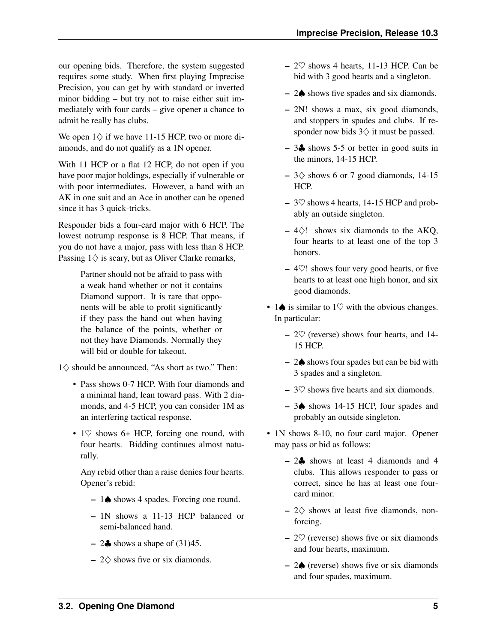our opening bids. Therefore, the system suggested requires some study. When first playing Imprecise Precision, you can get by with standard or inverted minor bidding – but try not to raise either suit immediately with four cards – give opener a chance to admit he really has clubs.

We open  $1\diamondsuit$  if we have 11-15 HCP, two or more diamonds, and do not qualify as a 1N opener.

With 11 HCP or a flat 12 HCP, do not open if you have poor major holdings, especially if vulnerable or with poor intermediates. However, a hand with an AK in one suit and an Ace in another can be opened since it has 3 quick-tricks.

Responder bids a four-card major with 6 HCP. The lowest notrump response is 8 HCP. That means, if you do not have a major, pass with less than 8 HCP. Passing  $1\diamondsuit$  is scary, but as Oliver Clarke remarks,

> Partner should not be afraid to pass with a weak hand whether or not it contains Diamond support. It is rare that opponents will be able to profit significantly if they pass the hand out when having the balance of the points, whether or not they have Diamonds. Normally they will bid or double for takeout.

 $1\diamond$  should be announced, "As short as two." Then:

- Pass shows 0-7 HCP. With four diamonds and a minimal hand, lean toward pass. With 2 diamonds, and 4-5 HCP, you can consider 1M as an interfering tactical response.
- $1\heartsuit$  shows 6+ HCP, forcing one round, with four hearts. Bidding continues almost naturally.

Any rebid other than a raise denies four hearts. Opener's rebid:

- 1♠ shows 4 spades. Forcing one round.
- 1N shows a 11-13 HCP balanced or semi-balanced hand.
- $-2\clubsuit$  shows a shape of (31)45.
- $2\diamond$  shows five or six diamonds.
- $-2\heartsuit$  shows 4 hearts, 11-13 HCP. Can be bid with 3 good hearts and a singleton.
- 2♠ shows five spades and six diamonds.
- 2N! shows a max, six good diamonds, and stoppers in spades and clubs. If responder now bids  $3\diamondsuit$  it must be passed.
- 3♣ shows 5-5 or better in good suits in the minors, 14-15 HCP.
- $-3$  \cdots 8 shows 6 or 7 good diamonds, 14-15 HCP.
- $-$  3 $\heartsuit$  shows 4 hearts, 14-15 HCP and probably an outside singleton.
- $-4\diamondsuit!$  shows six diamonds to the AKQ, four hearts to at least one of the top 3 honors.
- $-4\degree$ ! shows four very good hearts, or five hearts to at least one high honor, and six good diamonds.
- 1 $\spadesuit$  is similar to 1 $\heartsuit$  with the obvious changes. In particular:
	- $-2\heartsuit$  (reverse) shows four hearts, and 14-15 HCP.
	- 2♠ shows four spades but can be bid with 3 spades and a singleton.
	- $-3\heartsuit$  shows five hearts and six diamonds.
	- 3♠ shows 14-15 HCP, four spades and probably an outside singleton.
- 1N shows 8-10, no four card major. Opener may pass or bid as follows:
	- $-2$ , shows at least 4 diamonds and 4 clubs. This allows responder to pass or correct, since he has at least one fourcard minor.
	- $-2$  shows at least five diamonds, nonforcing.
	- $-2\heartsuit$  (reverse) shows five or six diamonds and four hearts, maximum.
	- 2♠ (reverse) shows five or six diamonds and four spades, maximum.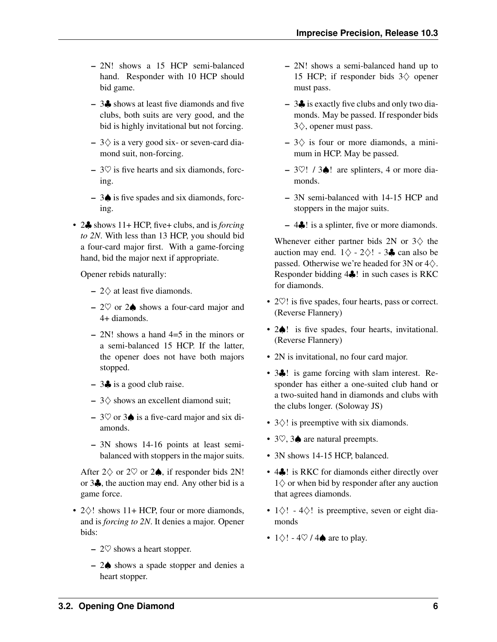- 2N! shows a 15 HCP semi-balanced hand. Responder with 10 HCP should bid game.
- 3♣ shows at least five diamonds and five clubs, both suits are very good, and the bid is highly invitational but not forcing.
- $-3$  $\diamond$  is a very good six- or seven-card diamond suit, non-forcing.
- $-$  3 $\heartsuit$  is five hearts and six diamonds, forcing.
- 3♠ is five spades and six diamonds, forcing.
- 2♣ shows 11+ HCP, five+ clubs, and is *forcing to 2N*. With less than 13 HCP, you should bid a four-card major first. With a game-forcing hand, bid the major next if appropriate.

Opener rebids naturally:

- $-2$  at least five diamonds.
- $2$ ♡ or  $2$   $\spadesuit$  shows a four-card major and 4+ diamonds.
- $-2N!$  shows a hand  $4=5$  in the minors or a semi-balanced 15 HCP. If the latter, the opener does not have both majors stopped.
- 3♣ is a good club raise.
- $-3$  shows an excellent diamond suit;
- 3♡ or 3♠ is a five-card major and six diamonds.
- 3N shows 14-16 points at least semibalanced with stoppers in the major suits.

After  $2\diamondsuit$  or  $2\diamondsuit$  or  $2\spadesuit$ , if responder bids 2N! or 3♣, the auction may end. Any other bid is a game force.

- $2\diamond$ ! shows 11+ HCP, four or more diamonds, and is *forcing to 2N*. It denies a major. Opener bids:
	- $-2\heartsuit$  shows a heart stopper.
	- 2♠ shows a spade stopper and denies a heart stopper.
- 2N! shows a semi-balanced hand up to 15 HCP; if responder bids  $3\diamondsuit$  opener must pass.
- 3♣ is exactly five clubs and only two diamonds. May be passed. If responder bids 3♢, opener must pass.
- $-3\diamondsuit$  is four or more diamonds, a minimum in HCP. May be passed.
- $3\degree$ ! /  $3\spadesuit$ ! are splinters, 4 or more diamonds.
- 3N semi-balanced with 14-15 HCP and stoppers in the major suits.
- 4♣! is a splinter, five or more diamonds.

Whenever either partner bids 2N or  $3\diamondsuit$  the auction may end.  $1\diamondsuit$  - 2 $\diamondsuit$ ! - 3♣ can also be passed. Otherwise we're headed for 3N or  $4\diamondsuit$ . Responder bidding 4♣! in such cases is RKC for diamonds.

- 2 $\heartsuit$ ! is five spades, four hearts, pass or correct. (Reverse Flannery)
- 2 $\triangle$ ! is five spades, four hearts, invitational. (Reverse Flannery)
- 2N is invitational, no four card major.
- 3. ! is game forcing with slam interest. Responder has either a one-suited club hand or a two-suited hand in diamonds and clubs with the clubs longer. (Soloway JS)
- 3♢! is preemptive with six diamonds.
- 3♡, 3♠ are natural preempts.
- 3N shows 14-15 HCP, balanced.
- 4♣! is RKC for diamonds either directly over  $1\diamondsuit$  or when bid by responder after any auction that agrees diamonds.
- $1\diamondsuit!$   $4\diamondsuit!$  is preemptive, seven or eight diamonds
- $1\diamondsuit!$   $4\heartsuit/4\spadesuit$  are to play.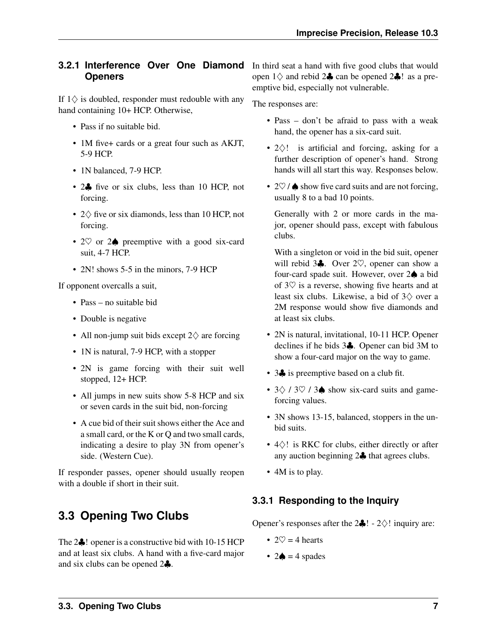#### <span id="page-9-5"></span><span id="page-9-0"></span>**3.2.1 Interference Over One Diamond Openers**

<span id="page-9-4"></span>If  $1\diamondsuit$  is doubled, responder must redouble with any hand containing 10+ HCP. Otherwise,

- Pass if no suitable bid.
- 1M five+ cards or a great four such as AKJT, 5-9 HCP.
- 1N balanced, 7-9 HCP.
- 2. five or six clubs, less than 10 HCP, not forcing.
- 2♢ five or six diamonds, less than 10 HCP, not forcing.
- 2 $\heartsuit$  or 2 $\spadesuit$  preemptive with a good six-card suit, 4-7 HCP.
- 2N! shows 5-5 in the minors, 7-9 HCP

If opponent overcalls a suit,

- Pass no suitable bid
- Double is negative
- All non-jump suit bids except 2♢ are forcing
- 1N is natural, 7-9 HCP, with a stopper
- 2N is game forcing with their suit well stopped, 12+ HCP.
- All jumps in new suits show 5-8 HCP and six or seven cards in the suit bid, non-forcing
- A cue bid of their suit shows either the Ace and a small card, or the K or Q and two small cards, indicating a desire to play 3N from opener's side. (Western Cue).

If responder passes, opener should usually reopen with a double if short in their suit.

# <span id="page-9-1"></span>**3.3 Opening Two Clubs**

<span id="page-9-3"></span>The 2♣! opener is a constructive bid with 10-15 HCP and at least six clubs. A hand with a five-card major and six clubs can be opened 2♣.

In third seat a hand with five good clubs that would open  $1 \diamondsuit$  and rebid  $2 \clubsuit$  can be opened  $2 \clubsuit$ ! as a preemptive bid, especially not vulnerable.

The responses are:

- Pass don't be afraid to pass with a weak hand, the opener has a six-card suit.
- 2♢! is artificial and forcing, asking for a further description of opener's hand. Strong hands will all start this way. Responses below.
- $2\heartsuit$  /  $\spadesuit$  show five card suits and are not forcing, usually 8 to a bad 10 points.

Generally with 2 or more cards in the major, opener should pass, except with fabulous clubs.

With a singleton or void in the bid suit, opener will rebid 3♣. Over 2♡, opener can show a four-card spade suit. However, over 2♠ a bid of  $3\heartsuit$  is a reverse, showing five hearts and at least six clubs. Likewise, a bid of  $3\diamondsuit$  over a 2M response would show five diamonds and at least six clubs.

- 2N is natural, invitational, 10-11 HCP. Opener declines if he bids 3♣. Opener can bid 3M to show a four-card major on the way to game.
- 3. is preemptive based on a club fit.
- $3\diamondsuit$  /  $3\diamondsuit$  /  $3\spadesuit$  show six-card suits and gameforcing values.
- 3N shows 13-15, balanced, stoppers in the unbid suits.
- 4♢! is RKC for clubs, either directly or after any auction beginning 2♣ that agrees clubs.
- 4M is to play.

### <span id="page-9-2"></span>**3.3.1 Responding to the Inquiry**

Opener's responses after the  $2\clubsuit$ ! -  $2\diamond$ ! inquiry are:

- $2\heartsuit = 4$  hearts
- $2\spadesuit = 4$  spades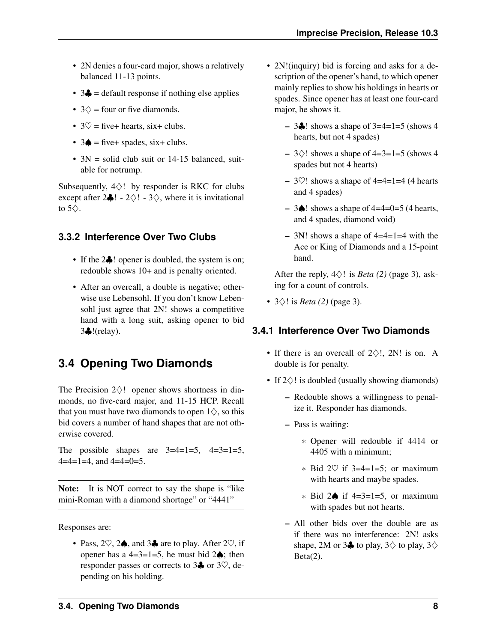- <span id="page-10-6"></span>• 2N denies a four-card major, shows a relatively balanced 11-13 points.
- 3 $\triangleleft$  = default response if nothing else applies
- $3\diamondsuit$  = four or five diamonds.
- $3\heartsuit$  = five+ hearts, six+ clubs.
- $3\spadesuit$  = five+ spades, six+ clubs.
- $3N =$  solid club suit or 14-15 balanced, suitable for notrump.

Subsequently,  $4\diamondsuit!$  by responder is RKC for clubs except after  $2\clubsuit$ ! -  $2\diamondsuit$ ! -  $3\diamondsuit$ , where it is invitational to  $5\diamondsuit$ .

#### <span id="page-10-0"></span>**3.3.2 Interference Over Two Clubs**

- <span id="page-10-4"></span>• If the 2<sup>1</sup> let opener is doubled, the system is on; redouble shows 10+ and is penalty oriented.
- After an overcall, a double is negative; otherwise use Lebensohl. If you don't know Lebensohl just agree that 2N! shows a competitive hand with a long suit, asking opener to bid 3♣!(relay).

### <span id="page-10-1"></span>**3.4 Opening Two Diamonds**

<span id="page-10-3"></span>The Precision  $2\diamondsuit!$  opener shows shortness in diamonds, no five-card major, and 11-15 HCP. Recall that you must have two diamonds to open  $1\diamondsuit$ , so this bid covers a number of hand shapes that are not otherwise covered.

The possible shapes are  $3=4=1=5$ ,  $4=3=1=5$ ,  $4=4=1=4$ , and  $4=4=0=5$ .

Note: It is NOT correct to say the shape is "like" mini-Roman with a diamond shortage" or "4441"

Responses are:

• Pass,  $2\heartsuit$ ,  $2\spadesuit$ , and  $3\clubsuit$  are to play. After  $2\heartsuit$ , if opener has a 4=3=1=5, he must bid  $2\spadesuit$ ; then responder passes or corrects to  $3\clubsuit$  or  $3\heartsuit$ , depending on his holding.

- 2N!(inquiry) bid is forcing and asks for a description of the opener's hand, to which opener mainly replies to show his holdings in hearts or spades. Since opener has at least one four-card major, he shows it.
	- $-$  3♣! shows a shape of 3=4=1=5 (shows 4 hearts, but not 4 spades)
	- $-3$  \circ ! shows a shape of 4=3=1=5 (shows 4 spades but not 4 hearts)
	- $-3\degree$ ! shows a shape of 4=4=1=4 (4 hearts and 4 spades)
	- 3♦! shows a shape of  $4=4=0=5$  (4 hearts, and 4 spades, diamond void)
	- 3N! shows a shape of 4=4=1=4 with the Ace or King of Diamonds and a 15-point hand.

After the reply,  $4\diamondsuit!$  is *[Beta \(2\)](#page-5-3)* (page 3), asking for a count of controls.

• 3♢! is *[Beta \(2\)](#page-5-3)* (page 3).

#### <span id="page-10-2"></span>**3.4.1 Interference Over Two Diamonds**

- <span id="page-10-5"></span>• If there is an overcall of  $2\diamondsuit!$ , 2N! is on. A double is for penalty.
- If 2♢! is doubled (usually showing diamonds)
	- Redouble shows a willingness to penalize it. Responder has diamonds.
	- Pass is waiting:
		- \* Opener will redouble if 4414 or 4405 with a minimum;
		- \* Bid  $2\heartsuit$  if 3=4=1=5; or maximum with hearts and maybe spades.
		- \* Bid 2♠ if 4=3=1=5, or maximum with spades but not hearts.
	- All other bids over the double are as if there was no interference: 2N! asks shape, 2M or 3 $\clubsuit$  to play, 3 $\diamondsuit$  to play, 3 $\diamondsuit$  $Beta(2)$ .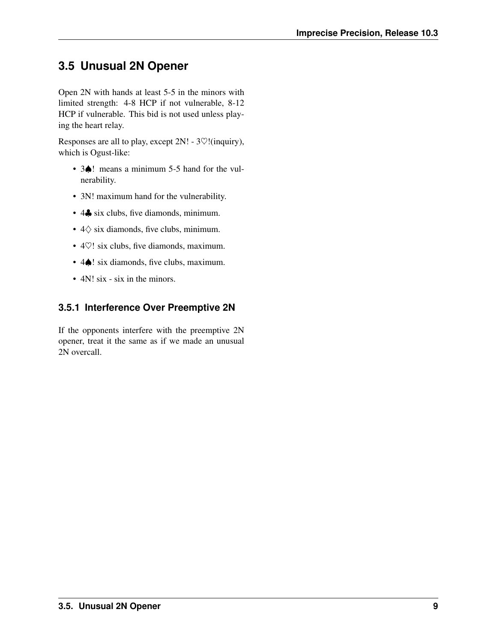# <span id="page-11-4"></span><span id="page-11-0"></span>**3.5 Unusual 2N Opener**

<span id="page-11-2"></span>Open 2N with hands at least 5-5 in the minors with limited strength: 4-8 HCP if not vulnerable, 8-12 HCP if vulnerable. This bid is not used unless playing the heart relay.

Responses are all to play, except 2N! - 3♡!(inquiry), which is Ogust-like:

- 3 $\spadesuit$ ! means a minimum 5-5 hand for the vulnerability.
- 3N! maximum hand for the vulnerability.
- 4. six clubs, five diamonds, minimum.
- 4♢ six diamonds, five clubs, minimum.
- 4 $\heartsuit$ ! six clubs, five diamonds, maximum.
- 4 $\spadesuit$ ! six diamonds, five clubs, maximum.
- 4N! six six in the minors.

### <span id="page-11-1"></span>**3.5.1 Interference Over Preemptive 2N**

<span id="page-11-3"></span>If the opponents interfere with the preemptive 2N opener, treat it the same as if we made an unusual 2N overcall.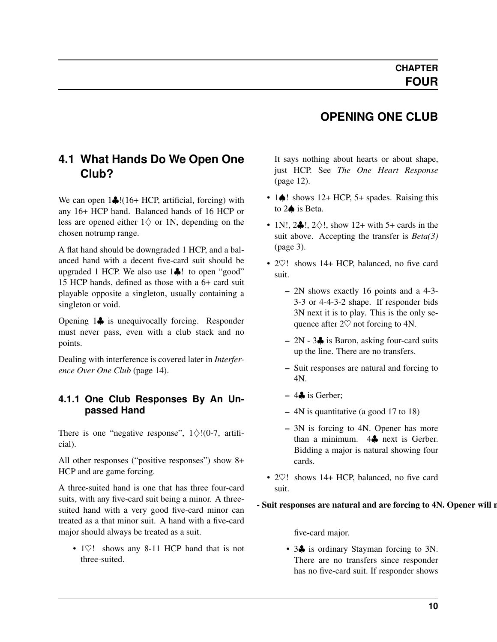# **OPENING ONE CLUB**

# <span id="page-12-2"></span><span id="page-12-0"></span>**4.1 What Hands Do We Open One Club?**

We can open 1♣!(16+ HCP, artificial, forcing) with any 16+ HCP hand. Balanced hands of 16 HCP or less are opened either  $1\diamondsuit$  or 1N, depending on the chosen notrump range.

A flat hand should be downgraded 1 HCP, and a balanced hand with a decent five-card suit should be upgraded 1 HCP. We also use 1♣! to open "good" 15 HCP hands, defined as those with a 6+ card suit playable opposite a singleton, usually containing a singleton or void.

Opening 1♣ is unequivocally forcing. Responder must never pass, even with a club stack and no points.

Dealing with interference is covered later in *[Interfer](#page-16-3)[ence Over One Club](#page-16-3)* (page 14).

#### <span id="page-12-1"></span>**4.1.1 One Club Responses By An Unpassed Hand**

There is one "negative response",  $1\diamondsuit!(0-7, \text{artifi-}$ cial).

All other responses ("positive responses") show 8+ HCP and are game forcing.

A three-suited hand is one that has three four-card suits, with any five-card suit being a minor. A threesuited hand with a very good five-card minor can treated as a that minor suit. A hand with a five-card major should always be treated as a suit.

• 1 $\heartsuit$ ! shows any 8-11 HCP hand that is not three-suited.

It says nothing about hearts or about shape, just HCP. See *[The One Heart Response](#page-14-0)* (page 12).

- 1 $\triangle$ ! shows 12+ HCP, 5+ spades. Raising this to 2♠ is Beta.
- 1N!,  $2\clubsuit$ !,  $2\diamond$ !, show 12+ with 5+ cards in the suit above. Accepting the transfer is *[Beta\(3\)](#page-5-3)* (page 3).
- 2 $\heartsuit$ ! shows 14+ HCP, balanced, no five card suit.
	- 2N shows exactly 16 points and a 4-3- 3-3 or 4-4-3-2 shape. If responder bids 3N next it is to play. This is the only sequence after  $2\heartsuit$  not forcing to 4N.
	- $-2N 3$  is Baron, asking four-card suits up the line. There are no transfers.
	- Suit responses are natural and forcing to 4N.
	- $-4\clubsuit$  is Gerber;
	- 4N is quantitative (a good 17 to 18)
	- 3N is forcing to 4N. Opener has more than a minimum. 4→ next is Gerber. Bidding a major is natural showing four cards.
- 2 $\heartsuit$ ! shows 14+ HCP, balanced, no five card suit.

#### - Suit responses are natural and are forcing to 4N. Opener will not

five-card major.

• 3 $\clubsuit$  is ordinary Stayman forcing to 3N. There are no transfers since responder has no five-card suit. If responder shows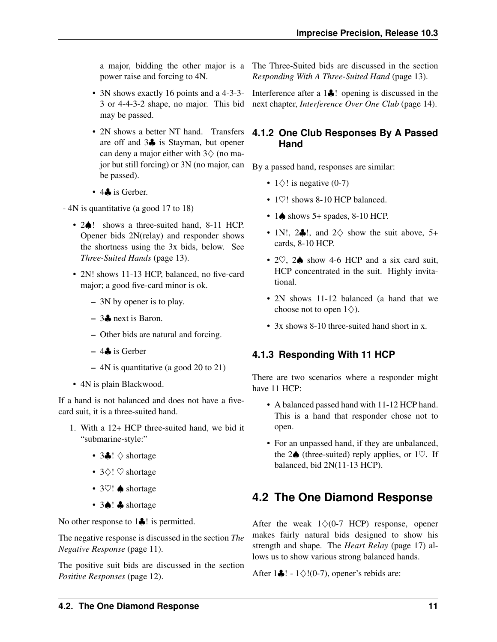power raise and forcing to 4N.

- 3N shows exactly 16 points and a 4-3-3- 3 or 4-4-3-2 shape, no major. This bid may be passed.
- are off and 3♣ is Stayman, but opener can deny a major either with  $3\diamond$  (no major but still forcing) or 3N (no major, can be passed).
- 4. is Gerber.
- 4N is quantitative (a good 17 to 18)
	- 2 $\spadesuit$ ! shows a three-suited hand, 8-11 HCP. Opener bids 2N(relay) and responder shows the shortness using the 3x bids, below. See *[Three-Suited Hands](#page-15-5)* (page 13).
	- 2N! shows 11-13 HCP, balanced, no five-card major; a good five-card minor is ok.
		- 3N by opener is to play.
		- 3♣ next is Baron.
		- Other bids are natural and forcing.
		- $-4$  is Gerber
		- 4N is quantitative (a good 20 to 21)
	- 4N is plain Blackwood.

If a hand is not balanced and does not have a fivecard suit, it is a three-suited hand.

- 1. With a 12+ HCP three-suited hand, we bid it "submarine-style:"
	- 3 $\clubsuit$ !  $\diamond$  shortage
	- 3♢! ♡ shortage
	- 3♡! ♠ shortage
	- 3♠! ♣ shortage

No other response to 1**♣**! is permitted.

The negative response is discussed in the section *[The](#page-13-2) [Negative Response](#page-13-2)* (page 11).

The positive suit bids are discussed in the section *[Positive Responses](#page-14-2)* (page 12).

a major, bidding the other major is a The Three-Suited bids are discussed in the section *[Responding With A Three-Suited Hand](#page-15-5)* (page 13).

> <span id="page-13-0"></span>Interference after a 1♣! opening is discussed in the next chapter, *[Interference Over One Club](#page-16-3)* (page 14).

#### • 2N shows a better NT hand. Transfers **4.1.2 One Club Responses By A Passed Hand**

By a passed hand, responses are similar:

- $1\diamond$ ! is negative (0-7)
- 1 $\heartsuit$ ! shows 8-10 HCP balanced.
- $\cdot$  1 $\spadesuit$  shows 5+ spades, 8-10 HCP.
- 1N!, 2..., and  $2\diamondsuit$  show the suit above, 5+ cards, 8-10 HCP.
- 2♡, 2♠ show 4-6 HCP and a six card suit, HCP concentrated in the suit. Highly invitational.
- 2N shows 11-12 balanced (a hand that we choose not to open  $1\diamondsuit$ ).
- 3x shows 8-10 three-suited hand short in x.

#### <span id="page-13-1"></span>**4.1.3 Responding With 11 HCP**

There are two scenarios where a responder might have 11 HCP:

- A balanced passed hand with 11-12 HCP hand. This is a hand that responder chose not to open.
- For an unpassed hand, if they are unbalanced, the  $2\spadesuit$  (three-suited) reply applies, or  $1\heartsuit$ . If balanced, bid 2N(11-13 HCP).

### <span id="page-13-2"></span>**4.2 The One Diamond Response**

After the weak  $1\diamondsuit(0-7 \text{ HCP})$  response, opener makes fairly natural bids designed to show his strength and shape. The *[Heart Relay](#page-19-4)* (page 17) allows us to show various strong balanced hands.

After  $1\clubsuit$ ! -  $1\diamond$ !(0-7), opener's rebids are: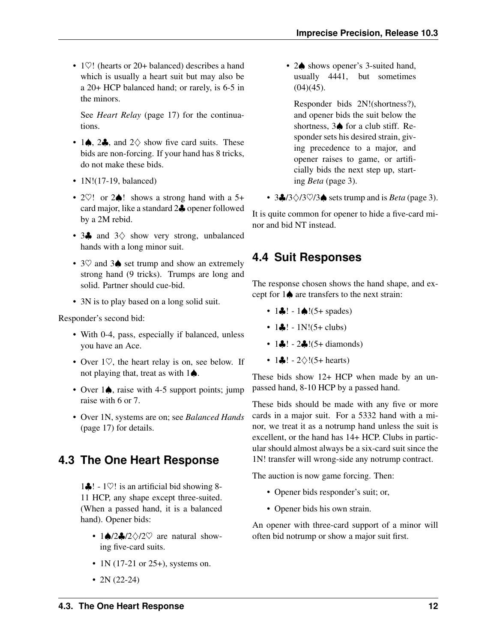<span id="page-14-3"></span>• 1 $\heartsuit$ ! (hearts or 20+ balanced) describes a hand which is usually a heart suit but may also be a 20+ HCP balanced hand; or rarely, is 6-5 in the minors.

See *[Heart Relay](#page-19-4)* (page 17) for the continuations.

- 1 $\spadesuit$ , 2 $\clubsuit$ , and 2 $\diamondsuit$  show five card suits. These bids are non-forcing. If your hand has 8 tricks, do not make these bids.
- 1N!(17-19, balanced)
- 2♡! or 2♠! shows a strong hand with a 5+ card major, like a standard 2♣ opener followed by a 2M rebid.
- 3♣ and 3♢ show very strong, unbalanced hands with a long minor suit.
- 3♡ and 3♠ set trump and show an extremely strong hand (9 tricks). Trumps are long and solid. Partner should cue-bid.
- 3N is to play based on a long solid suit.

Responder's second bid:

- With 0-4, pass, especially if balanced, unless you have an Ace.
- Over  $1\heartsuit$ , the heart relay is on, see below. If not playing that, treat as with 1♠.
- Over 1 $\spadesuit$ , raise with 4-5 support points; jump raise with 6 or 7.
- Over 1N, systems are on; see *[Balanced Hands](#page-19-5)* (page 17) for details.

### <span id="page-14-0"></span>**4.3 The One Heart Response**

1 $\clubsuit$ ! - 1 $\heartsuit$ ! is an artificial bid showing 8-11 HCP, any shape except three-suited. (When a passed hand, it is a balanced hand). Opener bids:

- 1♦/2♦/2 $\Diamond$ /2 $\heartsuit$  are natural showing five-card suits.
- 1N (17-21 or 25+), systems on.
- $2N(22-24)$

• 2 $\spadesuit$  shows opener's 3-suited hand, usually 4441, but sometimes  $(04)(45)$ .

Responder bids 2N!(shortness?), and opener bids the suit below the shortness, 3♠ for a club stiff. Responder sets his desired strain, giving precedence to a major, and opener raises to game, or artificially bids the next step up, starting *[Beta](#page-5-3)* (page 3).

• 3♣/3♢/3♡/3♠ sets trump and is *[Beta](#page-5-3)* (page 3).

It is quite common for opener to hide a five-card minor and bid NT instead.

# <span id="page-14-1"></span>**4.4 Suit Responses**

<span id="page-14-2"></span>The response chosen shows the hand shape, and except for 1♠ are transfers to the next strain:

- 1 $\clubsuit$ ! 1 $\spadesuit$ !(5+ spades)
- $1\clubsuit!$   $1N!(5+ clubs)$
- $1 \oplus 1 2 \oplus 1 (5 + \text{diamond})$
- 1 $\clubsuit$ ! 2 $\diamond$ !(5+ hearts)

These bids show 12+ HCP when made by an unpassed hand, 8-10 HCP by a passed hand.

These bids should be made with any five or more cards in a major suit. For a 5332 hand with a minor, we treat it as a notrump hand unless the suit is excellent, or the hand has 14+ HCP. Clubs in particular should almost always be a six-card suit since the 1N! transfer will wrong-side any notrump contract.

The auction is now game forcing. Then:

- Opener bids responder's suit; or,
- Opener bids his own strain.

An opener with three-card support of a minor will often bid notrump or show a major suit first.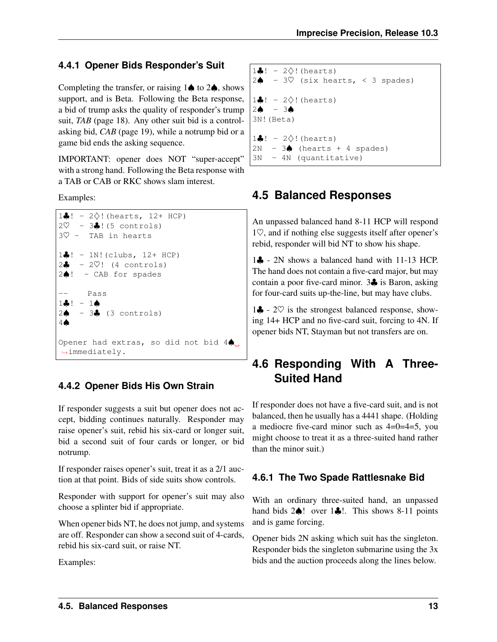#### <span id="page-15-6"></span><span id="page-15-0"></span>**4.4.1 Opener Bids Responder's Suit**

Completing the transfer, or raising  $1$ <sup> $\spadesuit$ </sup> to  $2\spadesuit$ , shows support, and is Beta. Following the Beta response, a bid of trump asks the quality of responder's trump suit, *[TAB](#page-20-2)* (page 18). Any other suit bid is a controlasking bid, *[CAB](#page-21-0)* (page 19), while a notrump bid or a game bid ends the asking sequence.

IMPORTANT: opener does NOT "super-accept" with a strong hand. Following the Beta response with a TAB or CAB or RKC shows slam interest.

Examples:

```
1♣! - 2♢!(hearts, 12+ HCP)
2\heartsuit - 3\clubsuit! (5 controls)
3♡ - TAB in hearts
1♣! - 1N!(clubs, 12+ HCP)
2\clubsuit - 2\heartsuit! (4 controls)
2♠! - CAB for spades
       Pass
1\clubsuit! - 1\spadesuit2\spadesuit - 3\clubsuit (3 controls)
4♠
Opener had extras, so did not bid 4♠.
˓→immediately.
```
#### <span id="page-15-1"></span>**4.4.2 Opener Bids His Own Strain**

If responder suggests a suit but opener does not accept, bidding continues naturally. Responder may raise opener's suit, rebid his six-card or longer suit, bid a second suit of four cards or longer, or bid notrump.

If responder raises opener's suit, treat it as a 2/1 auction at that point. Bids of side suits show controls.

Responder with support for opener's suit may also choose a splinter bid if appropriate.

When opener bids NT, he does not jump, and systems are off. Responder can show a second suit of 4-cards, rebid his six-card suit, or raise NT.

Examples:

```
1\clubsuit! - 2\diamond! (hearts)
2\spadesuit - 3\heartsuit (six hearts, < 3 spades)
1♣! - 2\diamond! (hearts)
2\spadesuit - 3\spadesuit3N!(Beta)
1♣! - 2\diamond! (hearts)
2N - 3 (hearts + 4 spades)
3N - 4N (quantitative)
```
# <span id="page-15-2"></span>**4.5 Balanced Responses**

An unpassed balanced hand 8-11 HCP will respond 1♡, and if nothing else suggests itself after opener's rebid, responder will bid NT to show his shape.

1♣ - 2N shows a balanced hand with 11-13 HCP. The hand does not contain a five-card major, but may contain a poor five-card minor. 3♣ is Baron, asking for four-card suits up-the-line, but may have clubs.

1♣ -  $2\heartsuit$  is the strongest balanced response, showing 14+ HCP and no five-card suit, forcing to 4N. If opener bids NT, Stayman but not transfers are on.

# <span id="page-15-3"></span>**4.6 Responding With A Three-Suited Hand**

<span id="page-15-5"></span>If responder does not have a five-card suit, and is not balanced, then he usually has a 4441 shape. (Holding a mediocre five-card minor such as 4=0=4=5, you might choose to treat it as a three-suited hand rather than the minor suit.)

#### <span id="page-15-4"></span>**4.6.1 The Two Spade Rattlesnake Bid**

With an ordinary three-suited hand, an unpassed hand bids 2♠! over 1♣!. This shows 8-11 points and is game forcing.

Opener bids 2N asking which suit has the singleton. Responder bids the singleton submarine using the 3x bids and the auction proceeds along the lines below.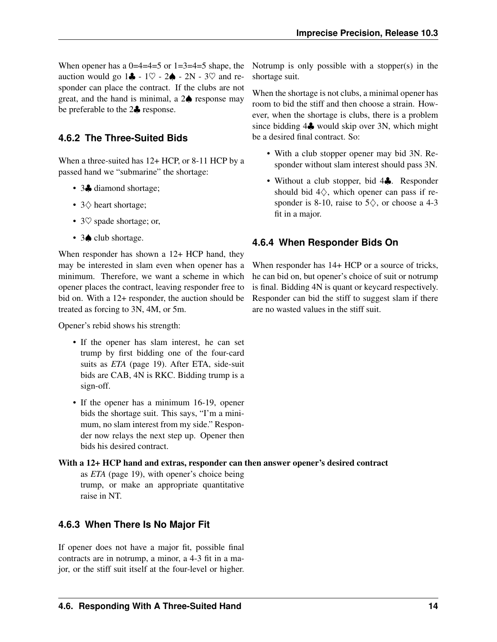<span id="page-16-4"></span>When opener has a  $0=4=4=5$  or  $1=3=4=5$  shape, the auction would go  $1\clubsuit - 1\heartsuit - 2\spadesuit - 2N - 3\heartsuit$  and responder can place the contract. If the clubs are not great, and the hand is minimal, a 2♠ response may be preferable to the 2♣ response.

#### <span id="page-16-0"></span>**4.6.2 The Three-Suited Bids**

When a three-suited has  $12+$  HCP, or 8-11 HCP by a passed hand we "submarine" the shortage:

- 3. diamond shortage;
- 3♢ heart shortage;
- 3 $\heartsuit$  spade shortage; or,
- 3♠ club shortage.

When responder has shown a 12+ HCP hand, they may be interested in slam even when opener has a minimum. Therefore, we want a scheme in which opener places the contract, leaving responder free to bid on. With a 12+ responder, the auction should be treated as forcing to 3N, 4M, or 5m.

Opener's rebid shows his strength:

- If the opener has slam interest, he can set trump by first bidding one of the four-card suits as *[ETA](#page-21-1)* (page 19). After ETA, side-suit bids are CAB, 4N is RKC. Bidding trump is a sign-off.
- If the opener has a minimum 16-19, opener bids the shortage suit. This says, "I'm a minimum, no slam interest from my side." Responder now relays the next step up. Opener then bids his desired contract.

#### With a 12+ HCP hand and extras, responder can then answer opener's desired contract

as *[ETA](#page-21-1)* (page 19), with opener's choice being trump, or make an appropriate quantitative raise in NT.

#### <span id="page-16-1"></span>**4.6.3 When There Is No Major Fit**

If opener does not have a major fit, possible final contracts are in notrump, a minor, a 4-3 fit in a major, or the stiff suit itself at the four-level or higher.

Notrump is only possible with a stopper(s) in the shortage suit.

When the shortage is not clubs, a minimal opener has room to bid the stiff and then choose a strain. However, when the shortage is clubs, there is a problem since bidding 4♣ would skip over 3N, which might be a desired final contract. So:

- With a club stopper opener may bid 3N. Responder without slam interest should pass 3N.
- Without a club stopper, bid 4♣. Responder should bid  $4\diamondsuit$ , which opener can pass if responder is 8-10, raise to  $5\diamondsuit$ , or choose a 4-3 fit in a major.

#### <span id="page-16-2"></span>**4.6.4 When Responder Bids On**

<span id="page-16-3"></span>When responder has  $14+$  HCP or a source of tricks, he can bid on, but opener's choice of suit or notrump is final. Bidding 4N is quant or keycard respectively. Responder can bid the stiff to suggest slam if there are no wasted values in the stiff suit.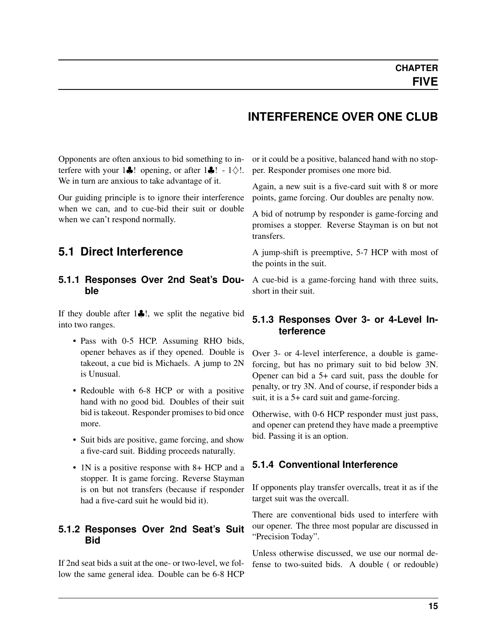### **INTERFERENCE OVER ONE CLUB**

<span id="page-17-6"></span><span id="page-17-0"></span>Opponents are often anxious to bid something to interfere with your 1 $\clubsuit$ ! opening, or after 1 $\clubsuit$ ! - 1 $\diamond$ !. We in turn are anxious to take advantage of it.

Our guiding principle is to ignore their interference when we can, and to cue-bid their suit or double when we can't respond normally.

### <span id="page-17-1"></span>**5.1 Direct Interference**

#### <span id="page-17-2"></span>**5.1.1 Responses Over 2nd Seat's Double**

If they double after  $1\clubsuit$ !, we split the negative bid into two ranges.

- Pass with 0-5 HCP. Assuming RHO bids, opener behaves as if they opened. Double is takeout, a cue bid is Michaels. A jump to 2N is Unusual.
- Redouble with 6-8 HCP or with a positive hand with no good bid. Doubles of their suit bid is takeout. Responder promises to bid once more.
- Suit bids are positive, game forcing, and show a five-card suit. Bidding proceeds naturally.
- 1N is a positive response with 8+ HCP and a stopper. It is game forcing. Reverse Stayman is on but not transfers (because if responder had a five-card suit he would bid it).

#### <span id="page-17-3"></span>**5.1.2 Responses Over 2nd Seat's Suit Bid**

If 2nd seat bids a suit at the one- or two-level, we follow the same general idea. Double can be 6-8 HCP

or it could be a positive, balanced hand with no stopper. Responder promises one more bid.

Again, a new suit is a five-card suit with 8 or more points, game forcing. Our doubles are penalty now.

A bid of notrump by responder is game-forcing and promises a stopper. Reverse Stayman is on but not transfers.

A jump-shift is preemptive, 5-7 HCP with most of the points in the suit.

A cue-bid is a game-forcing hand with three suits, short in their suit.

#### <span id="page-17-4"></span>**5.1.3 Responses Over 3- or 4-Level Interference**

Over 3- or 4-level interference, a double is gameforcing, but has no primary suit to bid below 3N. Opener can bid a 5+ card suit, pass the double for penalty, or try 3N. And of course, if responder bids a suit, it is a 5+ card suit and game-forcing.

Otherwise, with 0-6 HCP responder must just pass, and opener can pretend they have made a preemptive bid. Passing it is an option.

#### <span id="page-17-5"></span>**5.1.4 Conventional Interference**

If opponents play transfer overcalls, treat it as if the target suit was the overcall.

There are conventional bids used to interfere with our opener. The three most popular are discussed in "Precision Today".

Unless otherwise discussed, we use our normal defense to two-suited bids. A double ( or redouble)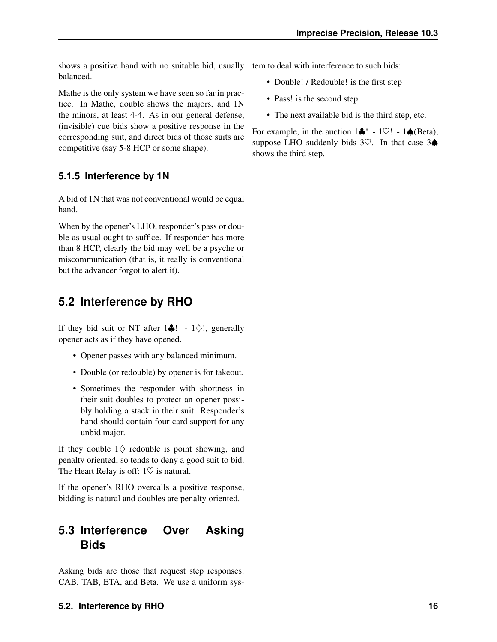<span id="page-18-4"></span>shows a positive hand with no suitable bid, usually tem to deal with interference to such bids: balanced.

Mathe is the only system we have seen so far in practice. In Mathe, double shows the majors, and 1N the minors, at least 4-4. As in our general defense, (invisible) cue bids show a positive response in the corresponding suit, and direct bids of those suits are competitive (say 5-8 HCP or some shape).

### <span id="page-18-0"></span>**5.1.5 Interference by 1N**

A bid of 1N that was not conventional would be equal hand.

When by the opener's LHO, responder's pass or double as usual ought to suffice. If responder has more than 8 HCP, clearly the bid may well be a psyche or miscommunication (that is, it really is conventional but the advancer forgot to alert it).

# <span id="page-18-1"></span>**5.2 Interference by RHO**

If they bid suit or NT after  $1\clubsuit$ ! -  $1\diamondsuit$ !, generally opener acts as if they have opened.

- Opener passes with any balanced minimum.
- Double (or redouble) by opener is for takeout.
- Sometimes the responder with shortness in their suit doubles to protect an opener possibly holding a stack in their suit. Responder's hand should contain four-card support for any unbid major.

If they double  $1 \diamondsuit$  redouble is point showing, and penalty oriented, so tends to deny a good suit to bid. The Heart Relay is off:  $1\heartsuit$  is natural.

If the opener's RHO overcalls a positive response, bidding is natural and doubles are penalty oriented.

# <span id="page-18-2"></span>**5.3 Interference Over Asking Bids**

<span id="page-18-3"></span>Asking bids are those that request step responses: CAB, TAB, ETA, and Beta. We use a uniform sys-

- Double! / Redouble! is the first step
- Pass! is the second step
- The next available bid is the third step, etc.

For example, in the auction  $1\clubsuit$ ! - 1 $\heartsuit$ ! - 1 $\spadesuit$  (Beta), suppose LHO suddenly bids 3♡. In that case 3♠ shows the third step.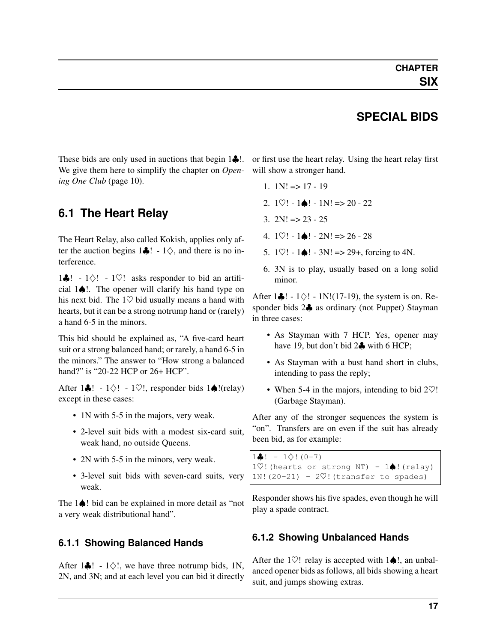### **SPECIAL BIDS**

We give them here to simplify the chapter on *[Open-](#page-12-0)*will show a stronger hand. *[ing One Club](#page-12-0)* (page 10).

### <span id="page-19-1"></span>**6.1 The Heart Relay**

<span id="page-19-4"></span>The Heart Relay, also called Kokish, applies only after the auction begins  $1\clubsuit$ ! -  $1\diamondsuit$ , and there is no interference.

1♣! - 1♢! - 1♡! asks responder to bid an artificial 1♠!. The opener will clarify his hand type on his next bid. The 1♡ bid usually means a hand with hearts, but it can be a strong notrump hand or (rarely) a hand 6-5 in the minors.

This bid should be explained as, "A five-card heart suit or a strong balanced hand; or rarely, a hand 6-5 in the minors." The answer to "How strong a balanced hand?" is "20-22 HCP or 26+ HCP".

After 1 $\clubsuit$ ! - 1 $\diamond$ ! - 1 $\heartsuit$ !, responder bids 1 $\spadesuit$ !(relay) except in these cases:

- 1N with 5-5 in the majors, very weak.
- 2-level suit bids with a modest six-card suit, weak hand, no outside Queens.
- 2N with 5-5 in the minors, very weak.
- 3-level suit bids with seven-card suits, very weak.

The 1♠! bid can be explained in more detail as "not a very weak distributional hand".

#### <span id="page-19-2"></span>**6.1.1 Showing Balanced Hands**

<span id="page-19-5"></span>After 1 $\clubsuit$ ! - 1 $\diamondsuit$ !, we have three notrump bids, 1N, 2N, and 3N; and at each level you can bid it directly

<span id="page-19-6"></span><span id="page-19-0"></span>These bids are only used in auctions that begin 1♣!. or first use the heart relay. Using the heart relay first

- 1.  $1N! \Rightarrow 17 19$
- 2.  $1\heartsuit! 1\spadesuit! 1N! \Rightarrow 20 22$
- 3.  $2N! \Rightarrow 23 25$
- 4.  $1\heartsuit! 1\spadesuit! 2N! \Rightarrow 26 28$
- 5.  $1\heartsuit! 1\spadesuit! 3N! \Rightarrow 29+,$  forcing to 4N.
- 6. 3N is to play, usually based on a long solid minor.

After  $1\clubsuit$ ! -  $1\diamond$ ! -  $1N!(17-19)$ , the system is on. Responder bids  $2\clubsuit$  as ordinary (not Puppet) Stayman in three cases:

- As Stayman with 7 HCP. Yes, opener may have 19, but don't bid 2 $\clubsuit$  with 6 HCP;
- As Stayman with a bust hand short in clubs, intending to pass the reply;
- When 5-4 in the majors, intending to bid  $2\heartsuit!$ (Garbage Stayman).

After any of the stronger sequences the system is "on". Transfers are on even if the suit has already been bid, as for example:

```
1\clubsuit! - 1\diamond! (0-7)
1\hearts!(hearts or strong NT) - 1\spadesuit!(relay)
1N!(20-21) - 2\heartsuit! (transfer to spades)
```
Responder shows his five spades, even though he will play a spade contract.

#### <span id="page-19-3"></span>**6.1.2 Showing Unbalanced Hands**

After the 1 $\heartsuit$ ! relay is accepted with 1 $\spadesuit$ !, an unbalanced opener bids as follows, all bids showing a heart suit, and jumps showing extras.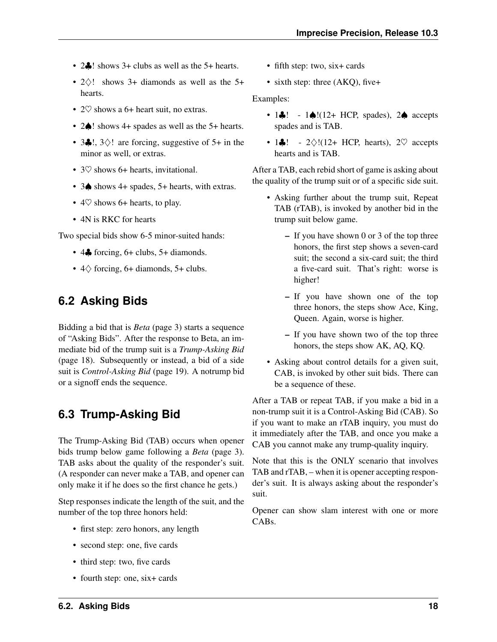- <span id="page-20-3"></span>• 2. Is shows 3+ clubs as well as the 5+ hearts.
- $2\diamond$ ! shows 3+ diamonds as well as the 5+ hearts.
- 2 $\heartsuit$  shows a 6+ heart suit, no extras.
- 2♠! shows 4+ spades as well as the 5+ hearts.
- 3 $\clubsuit$ !, 3 $\diamond$ ! are forcing, suggestive of 5+ in the minor as well, or extras.
- 3 $\heartsuit$  shows 6+ hearts, invitational.
- 3♠ shows 4+ spades, 5+ hearts, with extras.
- $4\heartsuit$  shows 6+ hearts, to play.
- 4N is RKC for hearts

Two special bids show 6-5 minor-suited hands:

- $\cdot$  4 $\clubsuit$  forcing, 6+ clubs, 5+ diamonds.
- $4\Diamond$  forcing, 6+ diamonds, 5+ clubs.

### <span id="page-20-0"></span>**6.2 Asking Bids**

Bidding a bid that is *[Beta](#page-5-3)* (page 3) starts a sequence of "Asking Bids". After the response to Beta, an immediate bid of the trump suit is a *[Trump-Asking Bid](#page-20-2)* (page 18). Subsequently or instead, a bid of a side suit is *[Control-Asking Bid](#page-21-0)* (page 19). A notrump bid or a signoff ends the sequence.

### <span id="page-20-1"></span>**6.3 Trump-Asking Bid**

<span id="page-20-2"></span>The Trump-Asking Bid (TAB) occurs when opener bids trump below game following a *[Beta](#page-5-3)* (page 3). TAB asks about the quality of the responder's suit. (A responder can never make a TAB, and opener can only make it if he does so the first chance he gets.)

Step responses indicate the length of the suit, and the number of the top three honors held:

- first step: zero honors, any length
- second step: one, five cards
- third step: two, five cards
- fourth step: one, six+ cards
- fifth step: two, six+ cards
- sixth step: three (AKQ), five+

Examples:

- 1 $\clubsuit$ ! 1 $\spadesuit$ !(12+ HCP, spades), 2 $\spadesuit$  accepts spades and is TAB.
- 1 $\clubsuit$ ! 2 $\diamond$ !(12+ HCP, hearts), 2 $\heartsuit$  accepts hearts and is TAB.

After a TAB, each rebid short of game is asking about the quality of the trump suit or of a specific side suit.

- Asking further about the trump suit, Repeat TAB (rTAB), is invoked by another bid in the trump suit below game.
	- If you have shown 0 or 3 of the top three honors, the first step shows a seven-card suit; the second a six-card suit; the third a five-card suit. That's right: worse is higher!
	- If you have shown one of the top three honors, the steps show Ace, King, Queen. Again, worse is higher.
	- If you have shown two of the top three honors, the steps show AK, AQ, KQ.
- Asking about control details for a given suit, CAB, is invoked by other suit bids. There can be a sequence of these.

After a TAB or repeat TAB, if you make a bid in a non-trump suit it is a Control-Asking Bid (CAB). So if you want to make an rTAB inquiry, you must do it immediately after the TAB, and once you make a CAB you cannot make any trump-quality inquiry.

Note that this is the ONLY scenario that involves TAB and rTAB, – when it is opener accepting responder's suit. It is always asking about the responder's suit.

Opener can show slam interest with one or more CABs.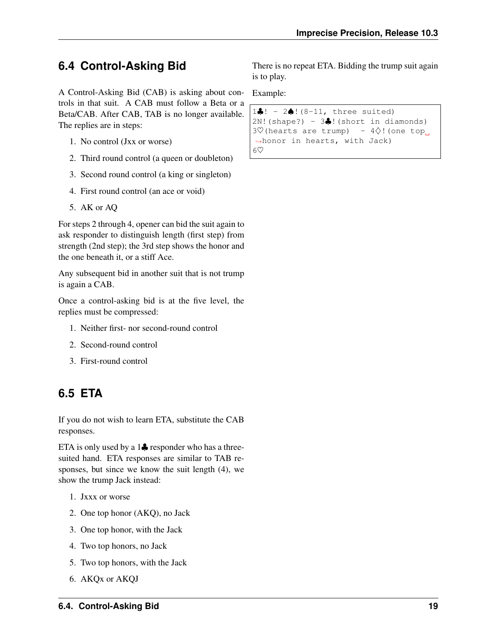# <span id="page-21-2"></span><span id="page-21-0"></span>**6.4 Control-Asking Bid**

A Control-Asking Bid (CAB) is asking about controls in that suit. A CAB must follow a Beta or a Beta/CAB. After CAB, TAB is no longer available. The replies are in steps:

- 1. No control (Jxx or worse)
- 2. Third round control (a queen or doubleton)
- 3. Second round control (a king or singleton)
- 4. First round control (an ace or void)
- 5. AK or AQ

For steps 2 through 4, opener can bid the suit again to ask responder to distinguish length (first step) from strength (2nd step); the 3rd step shows the honor and the one beneath it, or a stiff Ace.

Any subsequent bid in another suit that is not trump is again a CAB.

Once a control-asking bid is at the five level, the replies must be compressed:

- 1. Neither first- nor second-round control
- 2. Second-round control
- 3. First-round control

# <span id="page-21-1"></span>**6.5 ETA**

If you do not wish to learn ETA, substitute the CAB responses.

ETA is only used by a 1♣ responder who has a threesuited hand. ETA responses are similar to TAB responses, but since we know the suit length (4), we show the trump Jack instead:

- 1. Jxxx or worse
- 2. One top honor (AKQ), no Jack
- 3. One top honor, with the Jack
- 4. Two top honors, no Jack
- 5. Two top honors, with the Jack
- 6. AKQx or AKQJ

There is no repeat ETA. Bidding the trump suit again is to play.

Example:

```
1♣! - 2♠!(8-11, three suited)
2N!(shape?) - 3\clubsuit!(short in diamonds)
3♡(hearts are trump) - 4◇!(one top
˓→honor in hearts, with Jack)
6♡
```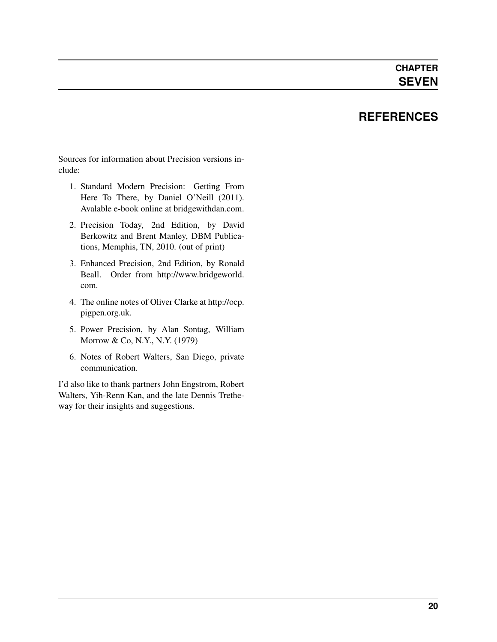## **REFERENCES**

<span id="page-22-0"></span>Sources for information about Precision versions include:

- 1. Standard Modern Precision: Getting From Here To There, by Daniel O'Neill (2011). Avalable e-book online at bridgewithdan.com.
- 2. Precision Today, 2nd Edition, by David Berkowitz and Brent Manley, DBM Publications, Memphis, TN, 2010. (out of print)
- 3. Enhanced Precision, 2nd Edition, by Ronald Beall. Order from [http://www.bridgeworld.](http://www.bridgeworld.com) [com.](http://www.bridgeworld.com)
- 4. The online notes of Oliver Clarke at [http://ocp.](http://ocp.pigpen.org.uk) [pigpen.org.uk.](http://ocp.pigpen.org.uk)
- 5. Power Precision, by Alan Sontag, William Morrow & Co, N.Y., N.Y. (1979)
- 6. Notes of Robert Walters, San Diego, private communication.

I'd also like to thank partners John Engstrom, Robert Walters, Yih-Renn Kan, and the late Dennis Tretheway for their insights and suggestions.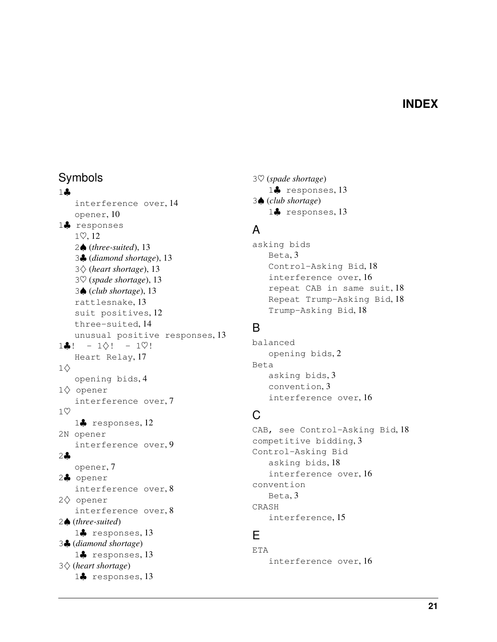### **INDEX**

### <span id="page-23-0"></span>Symbols

#### 1♣

interference over, [14](#page-16-4) opener, [10](#page-12-2) 1♣ responses 1♡, [12](#page-14-3) 2♠ (*three-suited*), [13](#page-15-6) 3♣ (*diamond shortage*), [13](#page-15-6) 3♢ (*heart shortage*), [13](#page-15-6) 3♡ (*spade shortage*), [13](#page-15-6) 3♠ (*club shortage*), [13](#page-15-6) rattlesnake, [13](#page-15-6) suit positives, [12](#page-14-3) three-suited, [14](#page-16-4) unusual positive responses, [13](#page-15-6)  $1\clubsuit!$  -  $1\diamond!$  -  $1\heartsuit!$ Heart Relay, [17](#page-19-6)  $1\diamondsuit$ opening bids, [4](#page-6-5) 1♢ opener interference over, [7](#page-9-5) 1♡ 1♣ responses, [12](#page-14-3) 2N opener interference over, [9](#page-11-4) 2♣ opener, [7](#page-9-5) 2♣ opener interference over, [8](#page-10-6) 2♢ opener interference over, [8](#page-10-6) 2♠ (*three-suited*) 1♣ responses, [13](#page-15-6) 3♣ (*diamond shortage*) 1♣ responses, [13](#page-15-6) 3♢ (*heart shortage*) 1♣ responses, [13](#page-15-6)

♡ (*spade shortage*) ♣ responses, [13](#page-15-6) ♠ (*club shortage*) ♣ responses, [13](#page-15-6)

# A

asking bids Beta, [3](#page-5-4) Control-Asking Bid, [18](#page-20-3) interference over, [16](#page-18-4) repeat CAB in same suit, [18](#page-20-3) Repeat Trump-Asking Bid, [18](#page-20-3) Trump-Asking Bid, [18](#page-20-3)

### B

balanced opening bids, [2](#page-4-4) Beta asking bids, [3](#page-5-4) convention, [3](#page-5-4) interference over, [16](#page-18-4)

# C

CAB, see Control-Asking Bid, [18](#page-20-3) competitive bidding, [3](#page-5-4) Control-Asking Bid asking bids, [18](#page-20-3) interference over, [16](#page-18-4) convention Beta, [3](#page-5-4) CRASH interference, [15](#page-17-6)

### E

ETA interference over, [16](#page-18-4)